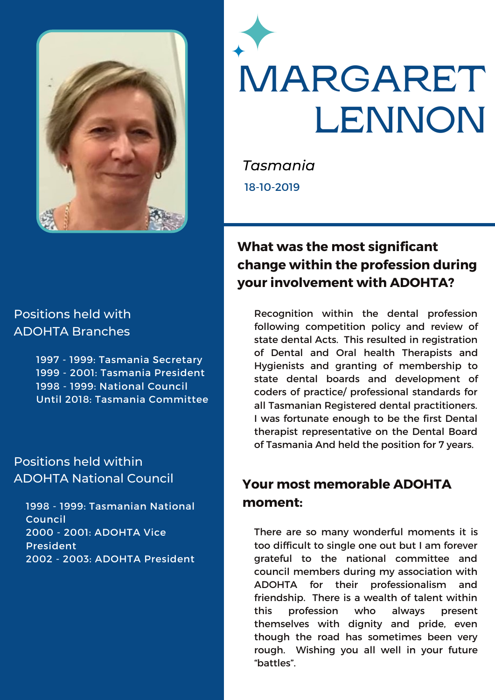



*Tasmania* 18-10-2019

## **What was the most significant change within the profession during your involvement with ADOHTA?**

Recognition within the dental profession following competition policy and review of state dental Acts. This resulted in registration of Dental and Oral health Therapists and Hygienists and granting of membership to state dental boards and development of coders of practice/ professional standards for all Tasmanian Registered dental practitioners. I was fortunate enough to be the first Dental therapist representative on the Dental Board of Tasmania And held the position for 7 years.

# **Your most memorable ADOHTA moment:**

There are so many wonderful moments it is too difficult to single one out but I am forever grateful to the national committee and council members during my association with ADOHTA for their professionalism and friendship. There is a wealth of talent within this profession who always present themselves with dignity and pride, even though the road has sometimes been very rough. Wishing you all well in your future "battles".

#### Positions held with ADOHTA Branches

 - 1999: Tasmania Secretary - 2001: Tasmania President - 1999: National Council Until 2018: Tasmania Committee

### Positions held within ADOHTA National Council

1998 - 1999: Tasmanian National Council 2000 - 2001: ADOHTA Vice President 2002 - 2003: ADOHTA President